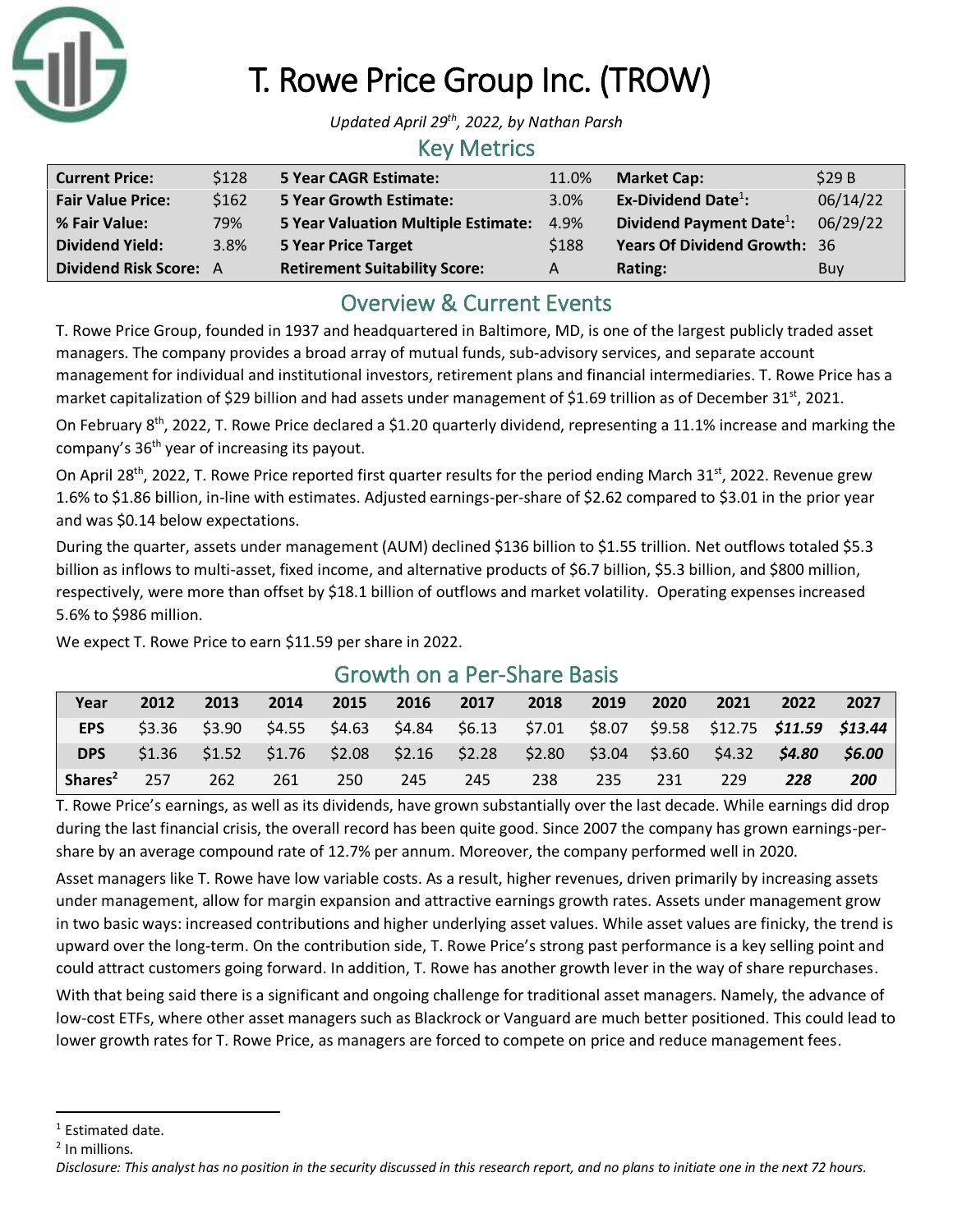

# T. Rowe Price Group Inc. (TROW)

*Updated April 29 th , 2022, by Nathan Parsh*

#### Key Metrics

| <b>Current Price:</b>         | \$128 | <b>5 Year CAGR Estimate:</b>         | 11.0% | <b>Market Cap:</b>                   | \$29B    |
|-------------------------------|-------|--------------------------------------|-------|--------------------------------------|----------|
| <b>Fair Value Price:</b>      | \$162 | <b>5 Year Growth Estimate:</b>       | 3.0%  | Ex-Dividend Date $^1$ :              | 06/14/22 |
| % Fair Value:                 | 79%   | 5 Year Valuation Multiple Estimate:  | 4.9%  | Dividend Payment Date <sup>1</sup> : | 06/29/22 |
| <b>Dividend Yield:</b>        | 3.8%  | <b>5 Year Price Target</b>           | \$188 | <b>Years Of Dividend Growth: 36</b>  |          |
| <b>Dividend Risk Score: A</b> |       | <b>Retirement Suitability Score:</b> | A     | Rating:                              | Buy      |

# Overview & Current Events

T. Rowe Price Group, founded in 1937 and headquartered in Baltimore, MD, is one of the largest publicly traded asset managers. The company provides a broad array of mutual funds, sub-advisory services, and separate account management for individual and institutional investors, retirement plans and financial intermediaries. T. Rowe Price has a market capitalization of \$29 billion and had assets under management of \$1.69 trillion as of December 31<sup>st</sup>, 2021.

On February 8<sup>th</sup>, 2022, T. Rowe Price declared a \$1.20 quarterly dividend, representing a 11.1% increase and marking the company's 36th year of increasing its payout.

On April 28<sup>th</sup>, 2022, T. Rowe Price reported first quarter results for the period ending March 31<sup>st</sup>, 2022. Revenue grew 1.6% to \$1.86 billion, in-line with estimates. Adjusted earnings-per-share of \$2.62 compared to \$3.01 in the prior year and was \$0.14 below expectations.

During the quarter, assets under management (AUM) declined \$136 billion to \$1.55 trillion. Net outflows totaled \$5.3 billion as inflows to multi-asset, fixed income, and alternative products of \$6.7 billion, \$5.3 billion, and \$800 million, respectively, were more than offset by \$18.1 billion of outflows and market volatility. Operating expenses increased 5.6% to \$986 million.

We expect T. Rowe Price to earn \$11.59 per share in 2022.

# **Year 2012 2013 2014 2015 2016 2017 2018 2019 2020 2021 2022 2027 EPS** \$3.36 \$3.90 \$4.55 \$4.63 \$4.84 \$6.13 \$7.01 \$8.07 \$9.58 \$12.75 *\$11.59 \$13.44* **DPS** \$1.36 \$1.52 \$1.76 \$2.08 \$2.16 \$2.28 \$2.80 \$3.04 \$3.60 \$4.32 *\$4.80 \$6.00* **Shares<sup>2</sup>** 257 262 261 250 245 245 238 235 231 229 *228 200*

## Growth on a Per-Share Basis

T. Rowe Price's earnings, as well as its dividends, have grown substantially over the last decade. While earnings did drop during the last financial crisis, the overall record has been quite good. Since 2007 the company has grown earnings-pershare by an average compound rate of 12.7% per annum. Moreover, the company performed well in 2020.

Asset managers like T. Rowe have low variable costs. As a result, higher revenues, driven primarily by increasing assets under management, allow for margin expansion and attractive earnings growth rates. Assets under management grow in two basic ways: increased contributions and higher underlying asset values. While asset values are finicky, the trend is upward over the long-term. On the contribution side, T. Rowe Price's strong past performance is a key selling point and could attract customers going forward. In addition, T. Rowe has another growth lever in the way of share repurchases.

With that being said there is a significant and ongoing challenge for traditional asset managers. Namely, the advance of low-cost ETFs, where other asset managers such as Blackrock or Vanguard are much better positioned. This could lead to lower growth rates for T. Rowe Price, as managers are forced to compete on price and reduce management fees.

<sup>&</sup>lt;sup>1</sup> Estimated date.

<sup>&</sup>lt;sup>2</sup> In millions.

*Disclosure: This analyst has no position in the security discussed in this research report, and no plans to initiate one in the next 72 hours.*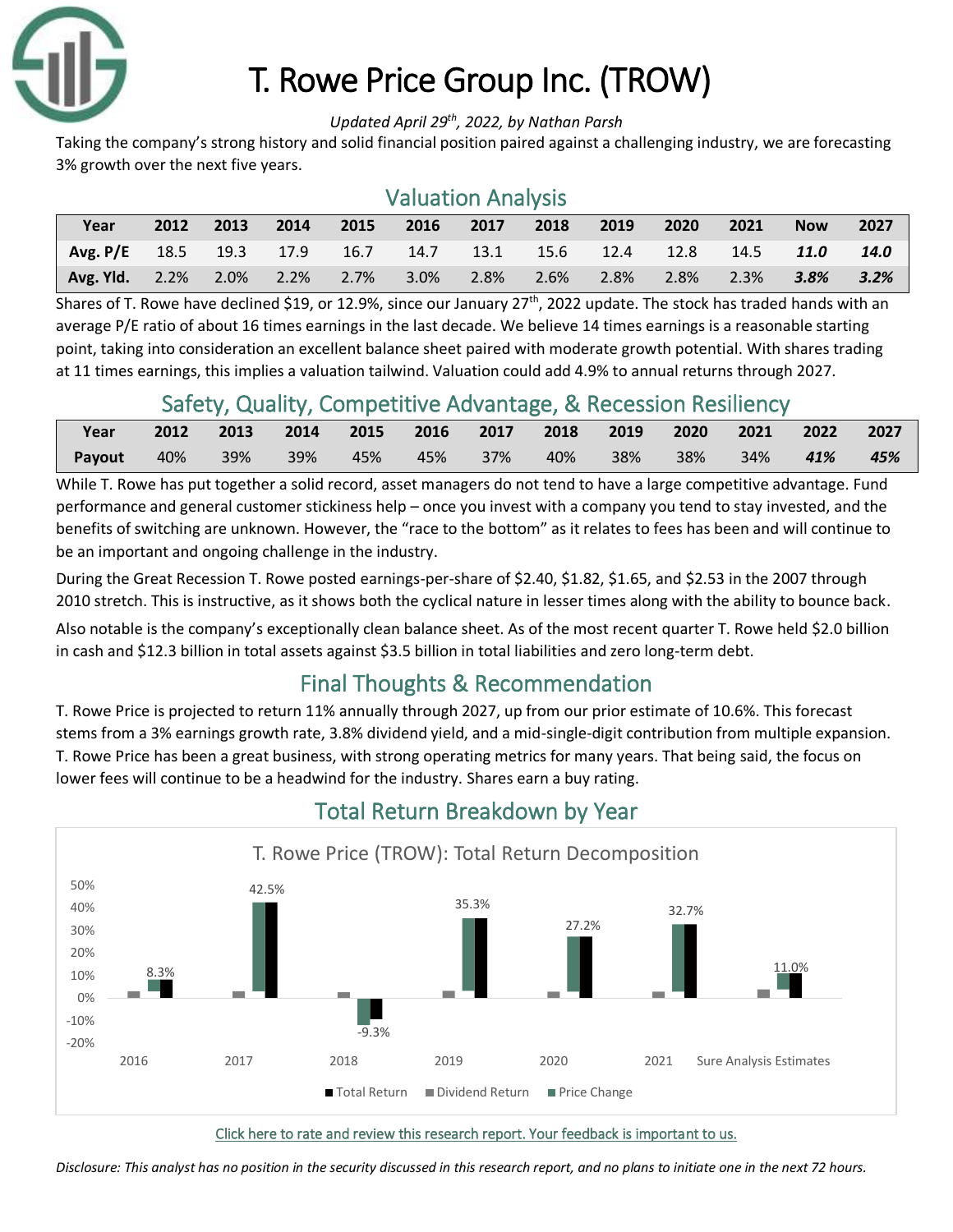

# T. Rowe Price Group Inc. (TROW)

#### *Updated April 29 th , 2022, by Nathan Parsh*

Taking the company's strong history and solid financial position paired against a challenging industry, we are forecasting 3% growth over the next five years.

### Valuation Analysis

| Year                           | 2012 | 2013    | 2014 | 2015      | 2016 | 2017              | 2018 | 2019    | 2020 | 2021 | <b>Now</b> | 2027 |
|--------------------------------|------|---------|------|-----------|------|-------------------|------|---------|------|------|------------|------|
| Avg. $P/E$ 18.5 19.3 17.9 16.7 |      |         |      |           | 14.7 | $\overline{13.1}$ | 15.6 | $-12.4$ | 12.8 | 14.5 | 11.0       | 14.0 |
| <b>Avg. Yld.</b> 2.2%          |      | $2.0\%$ |      | 2.2% 2.7% | 3.0% | 2.8%              | 2.6% | $2.8\%$ | 2.8% | 2.3% | 3.8%       | 3.2% |

Shares of T. Rowe have declined \$19, or 12.9%, since our January  $27^{th}$ , 2022 update. The stock has traded hands with an average P/E ratio of about 16 times earnings in the last decade. We believe 14 times earnings is a reasonable starting point, taking into consideration an excellent balance sheet paired with moderate growth potential. With shares trading at 11 times earnings, this implies a valuation tailwind. Valuation could add 4.9% to annual returns through 2027.

## Safety, Quality, Competitive Advantage, & Recession Resiliency

| Year              |  | 2012 2013 2014 2015 2016 2017 2018 2019 2020 2021 2022 2027 |  |  |  |  |     |
|-------------------|--|-------------------------------------------------------------|--|--|--|--|-----|
| <b>Payout</b> 40% |  | 39% 39% 45% 45% 37% 40% 38% 38% 34% <b>41%</b>              |  |  |  |  | 45% |

While T. Rowe has put together a solid record, asset managers do not tend to have a large competitive advantage. Fund performance and general customer stickiness help – once you invest with a company you tend to stay invested, and the benefits of switching are unknown. However, the "race to the bottom" as it relates to fees has been and will continue to be an important and ongoing challenge in the industry.

During the Great Recession T. Rowe posted earnings-per-share of \$2.40, \$1.82, \$1.65, and \$2.53 in the 2007 through 2010 stretch. This is instructive, as it shows both the cyclical nature in lesser times along with the ability to bounce back.

Also notable is the company's exceptionally clean balance sheet. As of the most recent quarter T. Rowe held \$2.0 billion in cash and \$12.3 billion in total assets against \$3.5 billion in total liabilities and zero long-term debt.

# Final Thoughts & Recommendation

T. Rowe Price is projected to return 11% annually through 2027, up from our prior estimate of 10.6%. This forecast stems from a 3% earnings growth rate, 3.8% dividend yield, and a mid-single-digit contribution from multiple expansion. T. Rowe Price has been a great business, with strong operating metrics for many years. That being said, the focus on lower fees will continue to be a headwind for the industry. Shares earn a buy rating.



# Total Return Breakdown by Year

#### [Click here to rate and review this research report. Your feedback is important to us.](https://suredividend.typeform.com/to/S0SIkB)

*Disclosure: This analyst has no position in the security discussed in this research report, and no plans to initiate one in the next 72 hours.*